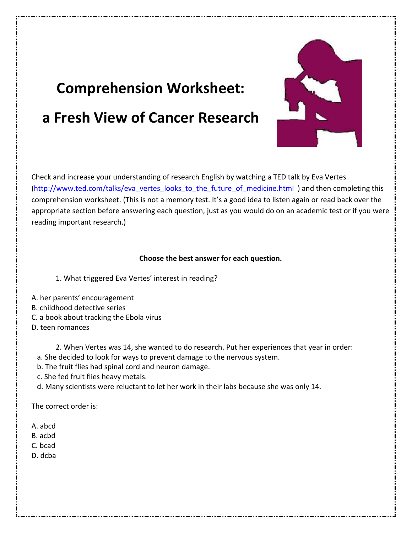# **Comprehension Worksheet: a Fresh View of Cancer Research**



Check and increase your understanding of research English by watching a TED talk by Eva Vertes (http://www.ted.com/talks/eva\_vertes\_looks\_to\_the\_future\_of\_medicine.html ) and then completing this comprehension worksheet. (This is not a memory test. It's a good idea to listen again or read back over the appropriate section before answering each question, just as you would do on an academic test or if you were reading important research.)

# **Choose the best answer for each question.**

- 1. What triggered Eva Vertes' interest in reading?
- A. her parents' encouragement
- B. childhood detective series
- C. a book about tracking the Ebola virus
- D. teen romances

2. When Vertes was 14, she wanted to do research. Put her experiences that year in order:

- a. She decided to look for ways to prevent damage to the nervous system.
- b. The fruit flies had spinal cord and neuron damage.
- c. She fed fruit flies heavy metals.
- d. Many scientists were reluctant to let her work in their labs because she was only 14.

The correct order is:

- A. abcd
- B. acbd
- C. bcad
- D. dcba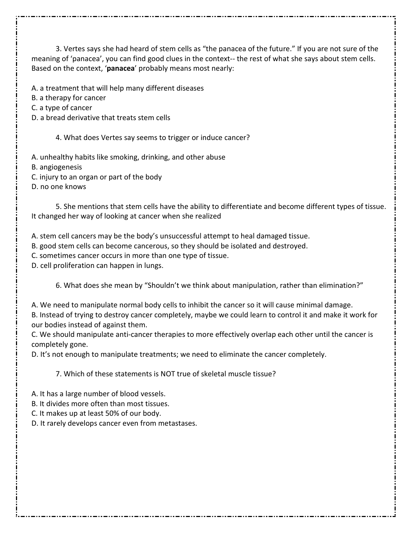3. Vertes says she had heard of stem cells as "the panacea of the future." If you are not sure of the meaning of 'panacea', you can find good clues in the context-- the rest of what she says about stem cells. Based on the context, '**panacea**' probably means most nearly:

A. a treatment that will help many different diseases

B. a therapy for cancer

C. a type of cancer

D. a bread derivative that treats stem cells

4. What does Vertes say seems to trigger or induce cancer?

A. unhealthy habits like smoking, drinking, and other abuse

B. angiogenesis

C. injury to an organ or part of the body

D. no one knows

 5. She mentions that stem cells have the ability to differentiate and become different types of tissue. It changed her way of looking at cancer when she realized

A. stem cell cancers may be the body's unsuccessful attempt to heal damaged tissue.

B. good stem cells can become cancerous, so they should be isolated and destroyed.

C. sometimes cancer occurs in more than one type of tissue.

D. cell proliferation can happen in lungs.

6. What does she mean by "Shouldn't we think about manipulation, rather than elimination?"

A. We need to manipulate normal body cells to inhibit the cancer so it will cause minimal damage. B. Instead of trying to destroy cancer completely, maybe we could learn to control it and make it work for our bodies instead of against them.

C. We should manipulate anti-cancer therapies to more effectively overlap each other until the cancer is completely gone.

D. It's not enough to manipulate treatments; we need to eliminate the cancer completely.

7. Which of these statements is NOT true of skeletal muscle tissue?

A. It has a large number of blood vessels.

B. It divides more often than most tissues.

C. It makes up at least 50% of our body.

D. It rarely develops cancer even from metastases.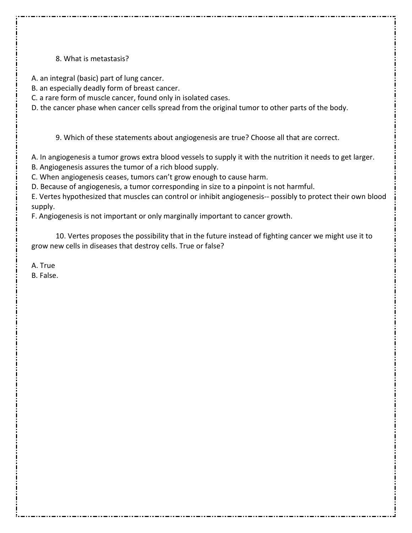# 8. What is metastasis?

A. an integral (basic) part of lung cancer.

B. an especially deadly form of breast cancer.

C. a rare form of muscle cancer, found only in isolated cases.

D. the cancer phase when cancer cells spread from the original tumor to other parts of the body.

9. Which of these statements about angiogenesis are true? Choose all that are correct.

A. In angiogenesis a tumor grows extra blood vessels to supply it with the nutrition it needs to get larger.

B. Angiogenesis assures the tumor of a rich blood supply.

C. When angiogenesis ceases, tumors can't grow enough to cause harm.

D. Because of angiogenesis, a tumor corresponding in size to a pinpoint is not harmful.

E. Vertes hypothesized that muscles can control or inhibit angiogenesis-- possibly to protect their own blood supply.

F. Angiogenesis is not important or only marginally important to cancer growth.

 10. Vertes proposes the possibility that in the future instead of fighting cancer we might use it to grow new cells in diseases that destroy cells. True or false?

A. True

B. False.